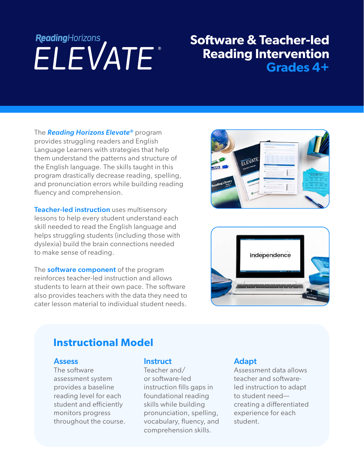# ReadingHorizons<br> **ELEVATE**

## **Software & Teacher-led Reading Intervention Grades 4+**

The *Reading Horizons Elevate®* program provides struggling readers and English Language Learners with strategies that help them understand the patterns and structure of the English language. The skills taught in this program drastically decrease reading, spelling, and pronunciation errors while building reading fluency and comprehension.

**Teacher-led instruction** uses multisensory lessons to help every student understand each skill needed to read the English language and helps struggling students (including those with dyslexia) build the brain connections needed to make sense of reading.

The **software component** of the program reinforces teacher-led instruction and allows students to learn at their own pace. The software also provides teachers with the data they need to cater lesson material to individual student needs.





### **Instructional Model**

#### **Assess**

The software assessment system provides a baseline reading level for each student and efficiently monitors progress throughout the course.

#### **Instruct**

Teacher and/ or software-led instruction fills gaps in foundational reading skills while building pronunciation, spelling, vocabulary, fluency, and comprehension skills.

#### Adapt

Assessment data allows teacher and softwareled instruction to adapt to student need creating a differentiated experience for each student.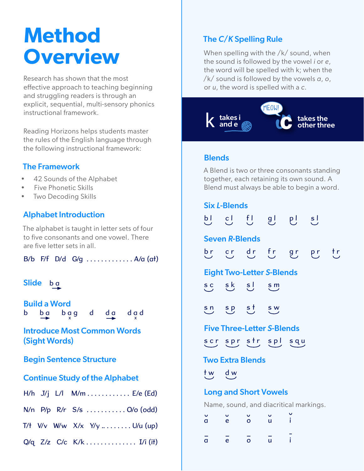# **Method Overview**

Research has shown that the most effective approach to teaching beginning and struggling readers is through an explicit, sequential, multi-sensory phonics instructional framework.

Reading Horizons helps students master the rules of the English language through the following instructional framework:

#### The Framework

- 42 Sounds of the Alphabet
- Five Phonetic Skills
- Two Decoding Skills

#### Alphabet Introduction

The alphabet is taught in letter sets of four to five consonants and one vowel. There are five letter sets in all.

B/b F/f D/d G/q  $\dots \dots \dots \dots \dots$  A/a (at)

#### Slide b a

Build a Word b ba bag d da dad

Introduce Most Common Words (Sight Words)

#### Begin Sentence Structure

#### Continue Study of the Alphabet

|  |  | H/h J/j L/l M/m E/e (Ed) |  |
|--|--|--------------------------|--|
|--|--|--------------------------|--|

|  |  |  |  | N/n P/p R/r S/s  O/o (odd) |  |
|--|--|--|--|----------------------------|--|
|--|--|--|--|----------------------------|--|

- T/ $t$  V/v W/w X/x Y/y ........ U/u (up)
- Q/q Z/z C/c K/k . . . . . . . . . . . . . I/i (it)

#### The *C*/*K* Spelling Rule

When spelling with the /k/ sound, when the sound is followed by the vowel *i* or *e*, the word will be spelled with k; when the /k/ sound is followed by the vowels *a*, *o*, or *u*, the word is spelled with a *c*.



#### **Blends**

A Blend is two or three consonants standing together, each retaining its own sound. A Blend must always be able to begin a word.

#### Six *L*-Blends

|                                        |              |                | p c f a b s                      |   |  |  |  |  |
|----------------------------------------|--------------|----------------|----------------------------------|---|--|--|--|--|
| <b>Seven R-Blends</b>                  |              |                |                                  |   |  |  |  |  |
|                                        |              |                | br er dr fr gr pr tr             |   |  |  |  |  |
|                                        |              |                | <b>Eight Two-Letter S-Blends</b> |   |  |  |  |  |
|                                        | sc sk sJ     |                | $\mathbf{s}$ m                   |   |  |  |  |  |
|                                        |              | sn sp st sw    |                                  |   |  |  |  |  |
| <b>Five Three-Letter S-Blends</b>      |              |                |                                  |   |  |  |  |  |
|                                        |              |                | scr spr str spl squ              |   |  |  |  |  |
| <b>Two Extra Blends</b>                |              |                |                                  |   |  |  |  |  |
| tw dw                                  |              |                |                                  |   |  |  |  |  |
| <b>Long and Short Vowels</b>           |              |                |                                  |   |  |  |  |  |
| Name, sound, and diacritical markings. |              |                |                                  |   |  |  |  |  |
| d                                      | $\mathbf{e}$ | $\overline{O}$ | $\mathbf{u}$                     | ì |  |  |  |  |

<sup>a</sup> <sup>e</sup> o <sup>u</sup> i